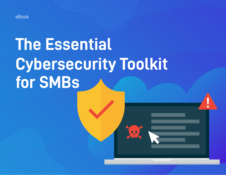

# **The Essential Cybersecurity Toolkit for SMBs**

 $\bullet$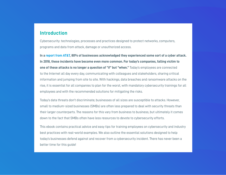## **Introduction**

Cybersecurity: technologies, processes and practices designed to protect networks, computers, programs and data from attack, damage or unauthorized access.

**In a [report from AT&T](https://www.business.att.com/content/whitepaper/cybersecurity-report/v7/index.html), 80% of businesses acknowledged they experienced some sort of a cyber attack. In 2018, these incidents have become even more common. For today's companies, falling victim to one of these attacks is no longer a question of "if" but "when."** Today's employees are connected to the Internet all day every day, communicating with colleagues and stakeholders, sharing critical information and jumping from site to site. With hackings, data breaches and ransomware attacks on the rise, it is essential for all companies to plan for the worst, with mandatory cybersecurity trainings for all employees and with the recommended solutions for mitigating the risks.

Today's data threats don't discriminate; businesses of all sizes are susceptible to attacks. However, small to medium-sized businesses (SMBs) are often less prepared to deal with security threats than their larger counterparts. The reasons for this vary from business to business, but ultimately it comes down to the fact that SMBs often have less resources to devote to cybersecurity efforts.

This ebook contains practical advice and easy tips for training employees on cybersecurity and industry best practices with real-world examples. We also outline the essential solutions designed to help today's businesses defend against and recover from a cybersecurity incident. There has never been a better time for this guide!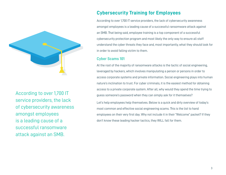

According to over 1,700 IT service providers, the lack of cybersecurity awareness amongst employees is a leading cause of a successful ransomware attack against an SMB.

# **Cybersecurity Training for Employees**

According to over 1,700 IT service providers, the lack of cybersecurity awareness amongst employees is a leading cause of a successful ransomware attack against an SMB. That being said, employee training is a top component of a successful cybersecurity protection program and most likely the only way to ensure all staff understand the cyber threats they face and, most importantly, what they should look for in order to avoid falling victim to them.

## **Cyber Scams 101**

At the root of the majority of ransomware attacks is the tactic of social engineering, leveraged by hackers, which involves manipulating a person or persons in order to access corporate systems and private information. Social engineering plays into human nature's inclination to trust. For cyber criminals, it is the easiest method for obtaining access to a private corporate system. After all, why would they spend the time trying to guess someone's password when they can simply ask for it themselves?

Let's help employees help themselves. Below is a quick and dirty overview of today's most common and effective social engineering scams. This is the list to hand employees on their very first day. Why not include it in their "Welcome" packet? If they don't know these leading hacker tactics, they WILL fall for them.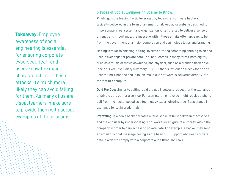**Takeaway:** Employee awareness of social engineering is essential for ensuring corporate cybersecurity. If end users know the main characteristics of these attacks, it's much more likely they can avoid falling for them. As many of us are visual learners, make sure to provide them with actual examples of these scams.

## **5 Types of Social Engineering Scams to Know:**

**Phishing:** is the leading tactic leveraged by today's ransomware hackers, typically delivered in the form of an email, chat, web ad or website designed to impersonate a real system and organization. Often crafted to deliver a sense of urgency and importance, the message within these emails often appears to be from the government or a major corporation and can include logos and branding.

**Baiting:** similar to phishing, baiting involves offering something enticing to an end user in exchange for private data. The "bait" comes in many forms, both digital, such as a music or movie download, and physical, such as a branded flash drive labeled "Executive Salary Summary Q3 2016" that is left out on a desk for an end user to find. Once the bait is taken, malicious software is delivered directly into the victim's compute

**Quid Pro Quo:** similar to baiting, quid pro quo involves a request for the exchange of private data but for a service. For example, an employee might receive a phone call from the hacker posed as a technology expert offering free IT assistance in exchange for login credentials.

**Pretexting:** is when a hacker creates a false sense of trust between themselves and the end user by impersonating a co-worker or a figure of authority within the company in order to gain access to private data. For example, a hacker may send an email or a chat message posing as the head of IT Support who needs private data in order to comply with a corporate audit (that isn't real).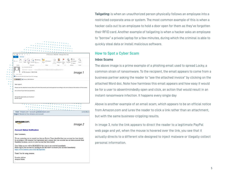| $\mathfrak{a}_3$<br>日<br>(5)<br>×<br>m.<br>÷                                                                                                                                                                                                                                     | ATTN: Invoice J-98223146 - Message (Plain Text)                             |
|----------------------------------------------------------------------------------------------------------------------------------------------------------------------------------------------------------------------------------------------------------------------------------|-----------------------------------------------------------------------------|
| <b>FILE</b><br>MESSAGE                                                                                                                                                                                                                                                           |                                                                             |
| T2 Meeting<br>g <sub>u</sub> Junk-<br>PActions .                                                                                                                                                                                                                                 | <b>推Find</b><br><b>Related</b>                                              |
| Delete<br>Reply<br>Reply Forward Ell More -<br>Move<br>$\Delta 1$                                                                                                                                                                                                                | Mark Categorize Follow<br>Translate<br>Zoom<br>le Select »<br>Unread<br>Up= |
| Delete<br>Respond<br>Move                                                                                                                                                                                                                                                        | Editing<br>Zoom<br>Taat                                                     |
| Tue 2/16/2016 8:48 AM                                                                                                                                                                                                                                                            |                                                                             |
| ATTN: Invoice J-98223146                                                                                                                                                                                                                                                         |                                                                             |
|                                                                                                                                                                                                                                                                                  | Image 1                                                                     |
| We removed extra line breaks from this message.                                                                                                                                                                                                                                  |                                                                             |
| Message W invoice_1-95223146.doc                                                                                                                                                                                                                                                 |                                                                             |
|                                                                                                                                                                                                                                                                                  |                                                                             |
| Dear support.                                                                                                                                                                                                                                                                    |                                                                             |
| Please see the attached invoice (Microsoft Word Document) and remit payment according to the terms listed at the bottom of the invoice.                                                                                                                                          |                                                                             |
|                                                                                                                                                                                                                                                                                  |                                                                             |
| Let us know if you have any questions.                                                                                                                                                                                                                                           |                                                                             |
|                                                                                                                                                                                                                                                                                  |                                                                             |
| We greatly appreciate your business!<br>Bonnie vause                                                                                                                                                                                                                             |                                                                             |
|                                                                                                                                                                                                                                                                                  |                                                                             |
| From: "Amazon.com" <account-update@amazon.com></account-update@amazon.com>                                                                                                                                                                                                       | 11/15/2012 1                                                                |
|                                                                                                                                                                                                                                                                                  |                                                                             |
| Subject: Revision to Your Amazon.com Account<br>amazon.com.                                                                                                                                                                                                                      |                                                                             |
|                                                                                                                                                                                                                                                                                  | Image 2                                                                     |
| <b>Account Status Notification</b>                                                                                                                                                                                                                                               |                                                                             |
| Dear Customers,                                                                                                                                                                                                                                                                  |                                                                             |
| We are contacting you to remind you that our Review Team identified that your account has been limited.<br>In accordance with Amazon User Agreement and to ensure that your account has not been accessed from<br>fraudulent locations, access to your account has been limited. |                                                                             |
| Your Online access will be BLOCKED if this issue is not resolved immediately.<br>Please log in your account by clicking on the link below to restore your account Immediately:<br>https://www.amazon.com/verify/idp/login.htm                                                    |                                                                             |
| Thank You for using Amazon.                                                                                                                                                                                                                                                      |                                                                             |
| Security Advisor                                                                                                                                                                                                                                                                 |                                                                             |

**Tailgating:** is when an unauthorized person physically follows an employee into a restricted corporate area or system. The most common example of this is when a hacker calls out to an employee to hold a door open for them as they've forgotten their RFID card. Another example of tailgating is when a hacker asks an employee to "borrow" a private laptop for a few minutes, during which the criminal is able to quickly steal data or install malicious software.

### **How to Spot a Cyber Scam**

#### **Inbox Scams**

The above image is a prime example of a phishing email used to spread Locky, a common strain of ransomware. To the recipient, the email appears to come from a business partner asking the reader to "see the attached invoice" by clicking on the attached Word doc. Note how harmless this email appears and how easy it would be for a user to absentmindedly open and click, an action that would result in an instant ransomware infection. It happens every single day

Above is another example of an email scam, which appears to be an official notice from Amazon.com and lures the reader to click a link rather than an attachment, but with the same business-crippling results.

In image 3, note the link appears to direct the reader to a legitimate PayPal web page and yet, when the mouse is hovered over the link, you see that it actually directs to a different site designed to inject malware or illegally collect personal information.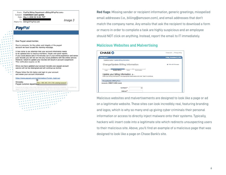

**Red flags**: Missing sender or recipient information, generic greetings, misspelled email addresses (i.e., billing@amzaon.com), and email addresses that don't match the company name. Any emails that ask the recipient to download a form or macro in order to complete a task are highly suspicious and an employee should NOT click on anything. Instead, report the email to IT immediately.

## **Malicious Websites and Malvertising**

| <b>CHASE O</b>                                                                                                                                                                                 | Privacy Policy<br>Chase.com |
|------------------------------------------------------------------------------------------------------------------------------------------------------------------------------------------------|-----------------------------|
| Chase Online <sup>5M</sup>                                                                                                                                                                     | Friday, November 21, 2014   |
| Customer Center > Update Billing Information                                                                                                                                                   |                             |
| Change/Update Billing Information                                                                                                                                                              | O Help with this page       |
| <b>Update Billing</b><br>Confirmation<br>Verify<br>Login<br>Update your billing information a-<br>Enter your billing information in the appropriate fields below and click "Next" to continue. |                             |
| <b>Change/Update of Billing Form</b>                                                                                                                                                           |                             |
| Accounts: CREDIT CARD (-xxxx)                                                                                                                                                                  |                             |
| Full Name *<br>国                                                                                                                                                                               |                             |
| Address <sup>*</sup>                                                                                                                                                                           |                             |

Malicious websites and malvertisements are designed to look like a page or ad on a legitimate website. These sites can look incredibly real, featuring branding and logos, which is why so many end up giving cyber criminals their personal information or access to directly inject malware onto their systems. Typically, hackers will insert code into a legitimate site which redirects unsuspecting users to their malicious site. Above, you'll find an example of a malicious page that was designed to look like a page on Chase Bank's site.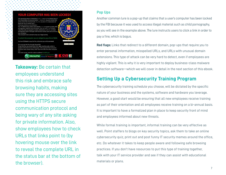## YOUR COMPUTER HAS BEEN LOCKED!



**Takeaway: Be certain that** employees understand this risk and embrace safe browsing habits, making sure they are accessing sites using the HTTPS secure communication protocol and being wary of any site asking for private information. Also, show employees how to check URLs that links point to (by hovering mouse over the link to reveal the complete URL in the status bar at the bottom of the browser).

## **Pop Ups**

Another common lure is a pop-up that claims that a user's computer has been locked by the FBI because it was used to access illegal material such as child pornography, as you will see in the example above. The lure instructs users to click a link in order to pay a fine, which is bogus.

**Red flags:** Links that redirect to a different domain, pop-ups that require you to enter personal information, misspelled URLs, and URLs with unusual domain extensions. This type of attack can be very hard to detect, even if employees are highly vigilant. This is why it is very important to deploy business-class malware detection software—which we will cover in detail in the next section of this ebook.

# **Setting Up a Cybersecurity Training Program**

The cybersecurity training schedule you choose, will be dictated by the specific nature of your business and the systems, software and hardware you leverage. However, a good start would be ensuring that all new employees receive training as part of their orientation and all employees receive training on a bi-annual basis. It is important to have a formalized plan in place to keep security front of mind and employees informed about new threats.

While formal training is important, informal training can be very effective as well. Point staffers to blogs on key security topics, ask them to take an online cybersecurity quiz, print out and post funny IT security memes around the office, etc. Do whatever it takes to keep people aware and following safe browsing practices. If you don't have resources to put this type of training together, talk with your IT service provider and see if they can assist with educational materials or plans.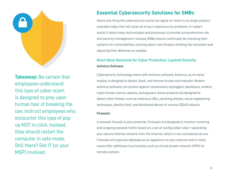

**Takeaway:** Be certain that employees understand this type of cyber scam is designed to prey upon human fear of breaking the law. Instruct employees who encounter this type of pop up NOT to click. Instead, they should restart the computer in safe mode. Still there? Get IT (or your MSP) involved.

# **Essential Cybersecurity Solutions for SMBs**

Here's one thing the cybersecurity world can agree on: there is no single product available today that will solve all of your cybersecurity problems. In today's world, it takes many technologies and processes to provide comprehensive risk and security management. Instead, SMBs should continually be checking their systems for vulnerabilities, learning about new threats, thinking like attackers and adjusting their defenses as needed.

## **Must–Have Solutions for Cyber Protection: Layered Security Antivirus Software**

Cybersecurity technology starts with antivirus software. Antivirus, as its name implies, is designed to detect, block, and remove viruses and malware. Modern antivirus software can protect against ransomware, keyloggers, backdoors, rootkits, trojan horses, worms, adware, and spyware. Some products are designed to detect other threats, such as malicious URLs, phishing attacks, social engineering techniques, identity theft, and distributed denial-of-service (DDoS) attacks.

#### **Firewalls**

A network firewall is also essential. Firewalls are designed to monitor incoming and outgoing network traffic based on a set of configurable rules—separating your secure internal network from the Internet, which is not considered secure. Firewalls are typically deployed as an appliance on your network and in many cases offer additional functionality, such as virtual private network (VPN) for remote workers.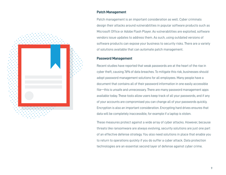

#### **Patch Management**

Patch management is an important consideration as well. Cyber criminals design their attacks around vulnerabilities in popular software products such as Microsoft Office or Adobe Flash Player. As vulnerabilities are exploited, software vendors issue updates to address them. As such, using outdated versions of software products can expose your business to security risks. There are a variety of solutions available that can automate patch management.

## **Password Management**

Recent studies have reported that weak passwords are at the heart of the rise in cyber theft, causing 76% of data breaches. To mitigate this risk, businesses should adopt password management solutions for all employees. Many people have a document that contains all of their password information in one easily accessible file—this is unsafe and unnecessary. There are many password management apps available today. These tools allow users keep track of all your passwords, and if any of your accounts are compromised you can change all of your passwords quickly. Encryption is also an important consideration. Encrypting hard drives ensures that data will be completely inaccessible, for example if a laptop is stolen.

These measures protect against a wide array of cyber attacks. However, because threats like ransomware are always evolving, security solutions are just one part of an effective defense strategy. You also need solutions in place that enable you to return to operations quickly if you do suffer a cyber attack. Data protection technologies are an essential second layer of defense against cyber crime.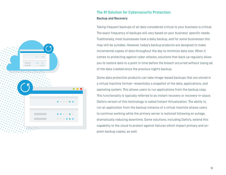

## **The #1 Solution for Cybersecurity Protection:**

#### **Backup and Recovery**

Taking frequent backups of all data considered critical to your business is critical. The exact frequency of backups will vary based on your business' specific needs. Traditionally, most businesses took a daily backup, and for some businesses this may still be suitable. However, today's backup products are designed to make incremental copies of data throughout the day to minimize data loss. When it comes to protecting against cyber attacks, solutions that back up regularly allow you to restore data to a point in time before the breach occurred without losing all of the data created since the previous night's backup.

Some data protection products can take image-based backups that are stored in a virtual machine format—essentially a snapshot of the data, applications, and operating system. This allows users to run applications from the backup copy. This functionality is typically referred to as instant recovery or recovery-in-place. Datto's version of this technology is called Instant Virtualization. The ability to run an application from the backup instance of a virtual machine allows users to continue working while the primary server is restored following an outage, dramatically reducing downtime. Some solutions, including Datto's, extend this capability to the cloud to protect against failures which impact primary and onprem backup copies, as well.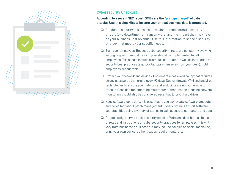

## **Cybersecurity Checklist**

## **According to a recent SEC report, SMBs are the ["principal target"](https://www.sec.gov/news/statement/cybersecurity-challenges-for-small-midsize-businesses.html) of cyber attacks. Use this checklist to be sure your critical business data is protected.**

- ❏ Conduct a security risk assessment. Understand potential security threats (e.g., downtime from ransomware) and the impact they may have on your business (lost revenue). Use this information to shape a security strategy that meets your specific needs.
- ❏ Train your employees. Because cybersecurity threats are constantly evolving, an ongoing semi-annual training plan should be implemented for all employees. This should include examples of threats, as well as instruction on security best practices (e.g., lock laptops when away from your desk). Hold employees accountable.
- ❏ Protect your network and devices. Implement a password policy that requires strong passwords that expire every 90 days. Deploy firewall, VPN and antivirus technologies to ensure your network and endpoints are not vulnerable to attacks. Consider implementing multifactor authentication. Ongoing network monitoring should also be considered essential. Encrypt hard drives.
- ❏ Keep software up to date. It is essential to use up-to-date software products and be vigilant about patch management. Cyber criminals exploit software vulnerabilities using a variety of tactics to gain access to computers and data.
- ❏ Create straightforward cybersecurity policies. Write and distribute a clear set of rules and instructions on cybersecurity practices for employees. This will vary from business to business but may include policies on social media use, bring your own device, authentication requirements, etc.